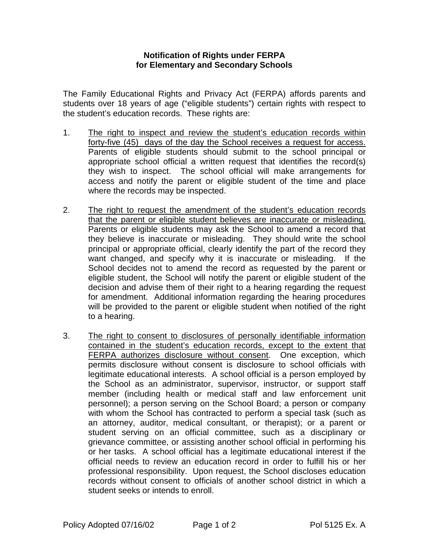## **Notification of Rights under FERPA for Elementary and Secondary Schools**

The Family Educational Rights and Privacy Act (FERPA) affords parents and students over 18 years of age ("eligible students") certain rights with respect to the student's education records. These rights are:

- 1. The right to inspect and review the student's education records within forty-five (45) days of the day the School receives a request for access. Parents of eligible students should submit to the school principal or appropriate school official a written request that identifies the record(s) they wish to inspect. The school official will make arrangements for access and notify the parent or eligible student of the time and place where the records may be inspected.
- 2. The right to request the amendment of the student's education records that the parent or eligible student believes are inaccurate or misleading. Parents or eligible students may ask the School to amend a record that they believe is inaccurate or misleading. They should write the school principal or appropriate official, clearly identify the part of the record they want changed, and specify why it is inaccurate or misleading. If the School decides not to amend the record as requested by the parent or eligible student, the School will notify the parent or eligible student of the decision and advise them of their right to a hearing regarding the request for amendment. Additional information regarding the hearing procedures will be provided to the parent or eligible student when notified of the right to a hearing.
- 3. The right to consent to disclosures of personally identifiable information contained in the student's education records, except to the extent that FERPA authorizes disclosure without consent. One exception, which permits disclosure without consent is disclosure to school officials with legitimate educational interests. A school official is a person employed by the School as an administrator, supervisor, instructor, or support staff member (including health or medical staff and law enforcement unit personnel); a person serving on the School Board; a person or company with whom the School has contracted to perform a special task (such as an attorney, auditor, medical consultant, or therapist); or a parent or student serving on an official committee, such as a disciplinary or grievance committee, or assisting another school official in performing his or her tasks. A school official has a legitimate educational interest if the official needs to review an education record in order to fulfill his or her professional responsibility. Upon request, the School discloses education records without consent to officials of another school district in which a student seeks or intends to enroll.